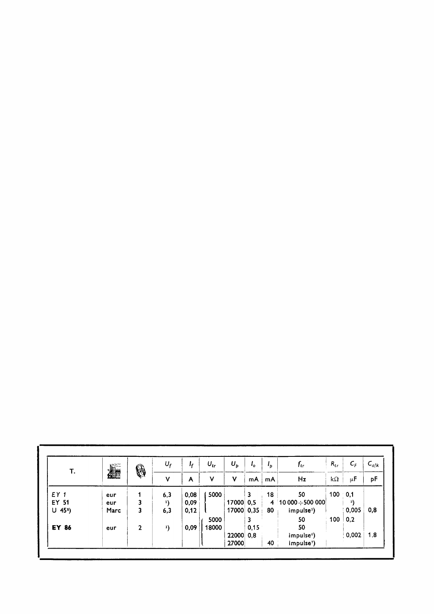| Т.                    | <b>All</b> | \$           | $U_f$<br>۷   | ı,<br>A | $U_{tr}$<br>٧ | $U_p$<br>$\mathbf v$ | ι.<br>mA | ه •<br>mA | $f_{tr}$<br>Hz          | $R_{tr}$<br>k $\Omega$ | $C_F$<br>$\mu$ F | $C_{a/k}$<br>pF |
|-----------------------|------------|--------------|--------------|---------|---------------|----------------------|----------|-----------|-------------------------|------------------------|------------------|-----------------|
|                       |            |              |              |         |               |                      |          |           |                         |                        |                  |                 |
| EY 51                 | eur        | 3            | $\mathbf{1}$ | 0,09    |               | 17000                | 0.5      |           | 4 10 000 $\div$ 500 000 |                        | 3)               |                 |
| $U$ 45 <sup>2</sup> ) | Marc       | 3            | 6,3          | 0,12    |               | 17000                | 0,35     | 80        | impulse <sup>5</sup> )  |                        | 0,005            | 0,8             |
|                       |            |              |              |         | 5000          |                      | 3        |           | 50                      | 100                    | 0,2              |                 |
| EY 86                 | eur        | $\mathbf{2}$ | $\mathbf{1}$ | 0,09    | 18000         |                      | 0,15     |           | 50                      |                        |                  |                 |
|                       |            |              |              |         |               | 22000                | 0,8      |           | impulse <sup>6</sup> )  |                        | 0,002            | 1,8             |
|                       |            |              |              |         |               | 27000                |          | 40        | impulse <sup>7</sup> )  |                        |                  |                 |